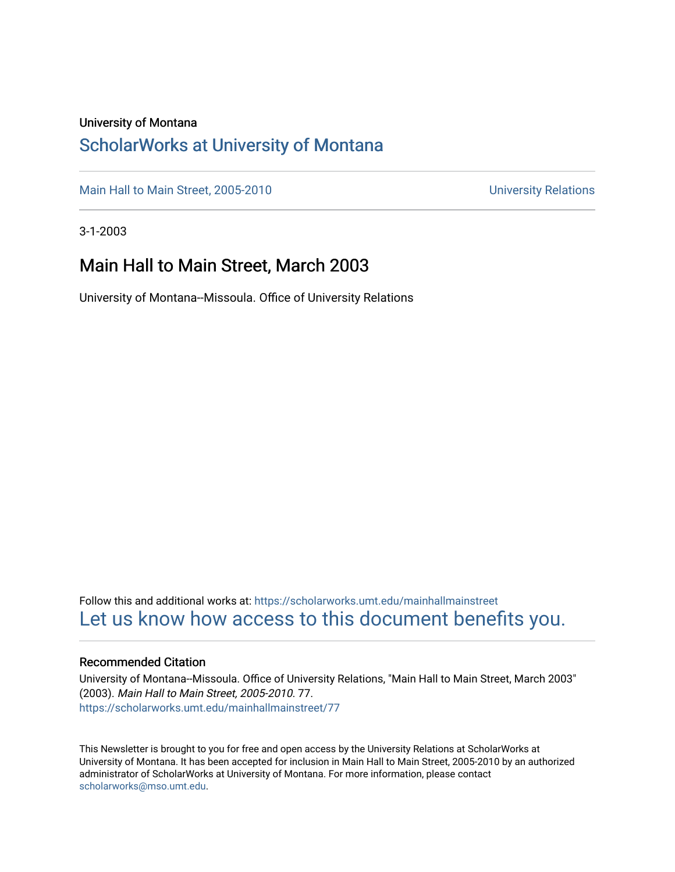### University of Montana

### [ScholarWorks at University of Montana](https://scholarworks.umt.edu/)

[Main Hall to Main Street, 2005-2010](https://scholarworks.umt.edu/mainhallmainstreet) Main Hall to Main Street, 2005-2010

3-1-2003

### Main Hall to Main Street, March 2003

University of Montana--Missoula. Office of University Relations

Follow this and additional works at: [https://scholarworks.umt.edu/mainhallmainstreet](https://scholarworks.umt.edu/mainhallmainstreet?utm_source=scholarworks.umt.edu%2Fmainhallmainstreet%2F77&utm_medium=PDF&utm_campaign=PDFCoverPages) [Let us know how access to this document benefits you.](https://goo.gl/forms/s2rGfXOLzz71qgsB2) 

### Recommended Citation

University of Montana--Missoula. Office of University Relations, "Main Hall to Main Street, March 2003" (2003). Main Hall to Main Street, 2005-2010. 77. [https://scholarworks.umt.edu/mainhallmainstreet/77](https://scholarworks.umt.edu/mainhallmainstreet/77?utm_source=scholarworks.umt.edu%2Fmainhallmainstreet%2F77&utm_medium=PDF&utm_campaign=PDFCoverPages) 

This Newsletter is brought to you for free and open access by the University Relations at ScholarWorks at University of Montana. It has been accepted for inclusion in Main Hall to Main Street, 2005-2010 by an authorized administrator of ScholarWorks at University of Montana. For more information, please contact [scholarworks@mso.umt.edu.](mailto:scholarworks@mso.umt.edu)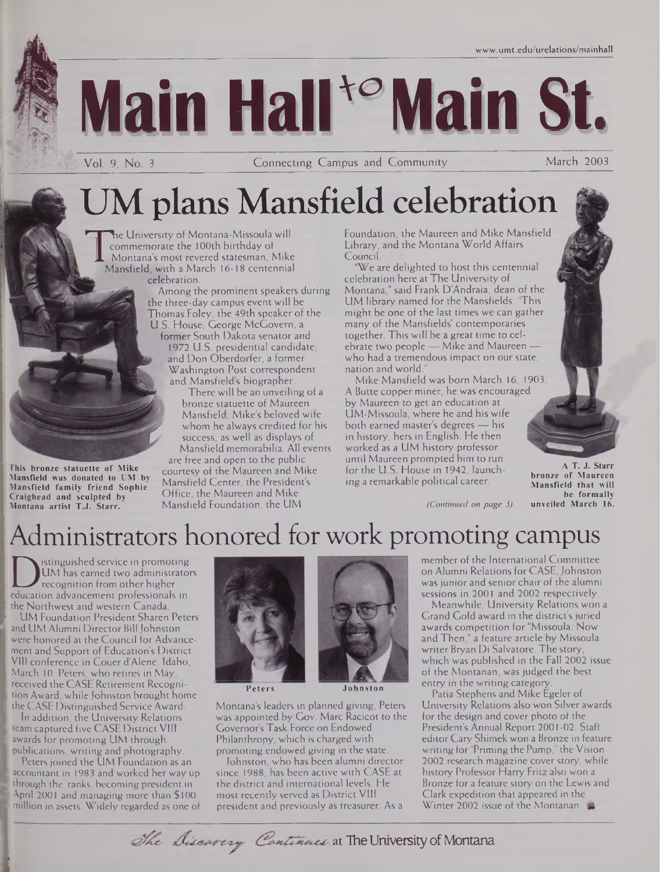

fjE'

Vol. 9, No. <sup>3</sup> Connecting Campus and Community March 2003

# UM plans Mansfield celebration

The University of Montana-Missoula will commemorate the 100th birthday of . Montana's most revered statesman, Mike Mansfield, with a March 16-18 centennial celebration.

> Among the prominent speakers during the three-day campus event will be Thomas Foley, the 49th speaker of the U.S. House, George McGovern, a

former South Dakota senator and 1972 U.S. presidential candidate. and Don Oberdorfer, a former Washington Post correspondent and Mansfield's biographer.

There will be an unveiling of a bronze statuette of Maureen Mansfield, Mike's beloved wife whom he always credited for his success, as well as displays of Mansfield memorabilia. All events are free and open to the public courtesy of the Maureen and Mike Mansfield Center, the President's Office, the Maureen and Mike

Mansfield Foundation, the UM

Foundation, the Maureen and Mike Mansfield Library, and the Montana World Affairs Council.

"We are delighted to host this centennial celebration here at The University of Montana," said Frank D'Andraia, dean of the UM library named for the Mansfields. 'This might be one of the last times we can gather many of the Mansfields' contemporaries together. This will be a great time to celebrate two people — Mike and Maureen who had a tremendous impact on our state, nation and world."

Mike Mansfield was born March 16, 1903. A Butte copper miner, he was encouraged by Maureen to get an education at UM-Missoula, where he and his wife both earned master's degrees — his in history, hers in English. He then worked as a UM history professor until Maureen prompted him to run for the U.S. House in 1942, launching a remarkable political career.

*(Continued on page 3)*

**A T. J. Starr bronze of Maureen Mansfield that will be formally unveiled March 16.**

Administrators honored for work promoting campus

UM has earned two administrate<br>recognition from other higher<br>the Northwest and western Canada istinguished service in promoting UM has earned two administrators recognition from other higher the Northwest and western Canada.

**This bronze statuette of Mike Mansfield was donated to UM by Mansfield family friend Sophie Craighead and sculpted by Montana artist T.J. Starr.**

UM Foundation President Sharen Peters and UM Alumni Director Bill Johnston were honored at the Council for Advancement and Support of Education's District VIII conference in Couer d'Alene, Idaho, March 10. Peters, who retires in May, received the CASE Retirement Recognition Award, while Johnston brought home the CASE Distinguished Service Award.

In addition, the University Relations team captured five CASE District VIII awards for promoting UM through publications, writing and photography

Peters joined the UM Foundation as an accountant in 1983 and worked her way up through the ranks, becoming president in April 2001 and managing more than \$100 million in assets. Widely regarded as one of



**Peters Johnston**

Montana's leaders in planned giving, Peters was appointed by Gov. Marc Racicot to the Governor's Task Force on Endowed Philanthropy, which is charged with promoting endowed giving in the state.

Johnston, who has been alumni director since 1988, has been active with CASE at the district and international levels. He most recently served as District VIII president and previously as treasurer. As a

member of the International Committee on Alumni Relations for CASE, Johnston was junior and senior chair of the alumni sessions in 2001 and 2002 respectively.

Meanwhile, University Relations won a Grand Gold award in the district's juried awards competition for "Missoula: Now and Then," a feature article by Missoula writer Bryan Di Salvatore. The story, which was published in the Fall 2002 issue of the Montanan, was judged the best entry in the writing category.

Patia Stephens and Mike Egeler of University Relations also won Silver awards for the design and cover photo of the President's Annual Report 2001-02. Staff editor Cary Shimek won a Bronze in feature writing for "Priming the Pump," the Vision 2002 research magazine cover story, while history Professor Harry Fritz also won a Bronze for a feature story on the Lewis and Clark expedition that appeared in the Winter 2002 issue of the Montanan.

The Discovery Continues at The University of Montana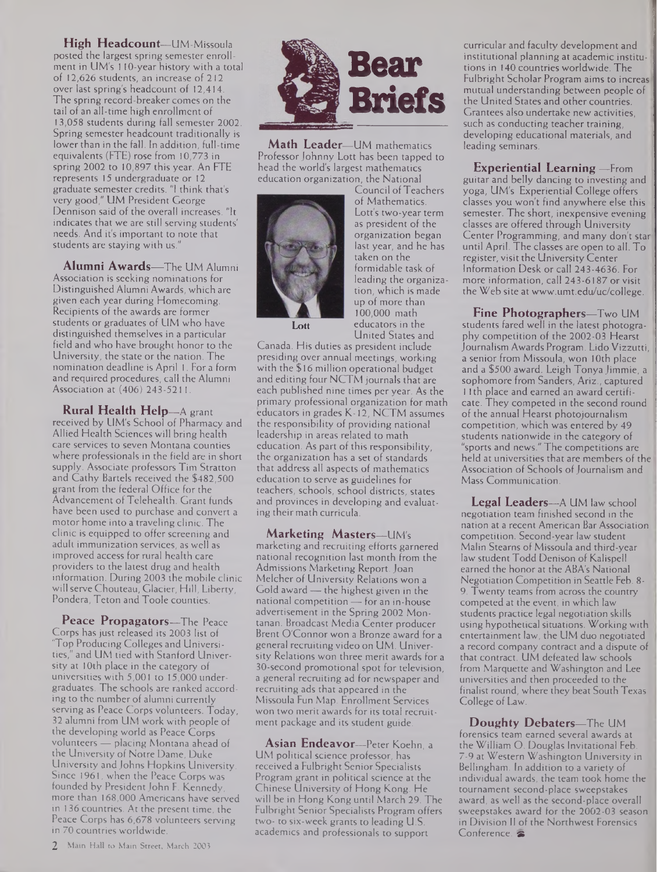**High Headcount—**UM-Missoula posted the largest spring semester enrollment in UM's 110-year history with a total of 12,626 students, an increase of 212 over last spring's headcount of 12,414. The spring record-breaker comes on the tail of an all-time high enrollment of 13,058 students during fall semester 2002. Spring semester headcount traditionally is lower than in the fall. In addition, full-time equivalents (FTE) rose from 10,773 in spring 2002 to 10,897 this year. An FTE represents 15 undergraduate or 12 graduate semester credits. "I think that's very good," UM President George Dennison said of the overall increases. "It indicates that we are still serving students' needs. And it's important to note that students are staying with us."

**Alumni Awards—**The UM Alumni Association is seeking nominations for Distinguished Alumni Awards, which are given each year during Homecoming. Recipients of the awards are former students or graduates of UM who have distinguished themselves in a particular field and who have brought honor to the University, the state or the nation. The nomination deadline is April 1. For a form and required procedures, call the Alumni Association at (406) 243-5211.

**Rural Health Help—**A grant received by UM's School of Pharmacy and Allied Health Sciences will bring health care services to seven Montana counties where professionals in the field are in short supply. Associate professors Tim Stratton and Cathy Bartels received the \$482,500 grant from the federal Office for the Advancement of Telehealth. Grant funds have been used to purchase and convert a motor home into a traveling clinic. The clinic is equipped to offer screening and adult immunization services, as well as improved access for rural health care providers to the latest drug and health information. During 2003 the mobile clinic will serve Chouteau, Glacier, Hill, Liberty, Pondera, Teton and Toole counties.

**Peace Propagators—**The Peace Corps hasjust released its 2003 list of 'Top Producing Colleges and Universities," and UM tied with Stanford University at 10th place in the category of universities with 5,001 to 15,000 undergraduates. The schools are ranked according to the number of alumni currently serving as Peace Corps volunteers. Today, 32 alumni from UM work with people of the developing world as Peace Corps volunteers — placing Montana ahead of the University of Notre Dame, Duke University andJohns Hopkins University. Since 1961, when the Peace Corps was founded by President John F. Kennedy, more than 168,000 Americans have served in 136 countries. At the present time, the Peace Corps has 6,678 volunteers serving in 70 countries worldwide.



**Math Leader—**UM mathematics Professor Johnny Lott has been tapped to head the world's largest mathematics education organization, the National



Council of Teachers of Mathematics. Lott's two-year term as president of the organization began last year, and he has taken on the formidable task of leading the organization, which is made up of more than 100,000 math educators in the United States and

Canada. His duties as president include presiding over annual meetings, working with the \$16 million operational budget and editing four NCTM journals that are each published nine times per year. As the primary professional organization for math educators in grades K-12, NCTM assumes the responsibility of providing national leadership in areas related to math education. As part of this responsibility, the organization has a set of standards that address all aspects of mathematics education to serve as guidelines for teachers, schools, school districts, states and provinces in developing and evaluating their math curricula.

**Marketing Masters—**UM's marketing and recruiting efforts garnered national recognition last month from the Admissions Marketing Report.Joan Melcher of University Relations won a Gold award — the highest given in the national competition — for an in-house advertisement in the Spring 2002 Montanan. Broadcast Media Center producer Brent O'Connor won a Bronze award for a general recruiting video on UM. University Relations won three merit awards for a 30-second promotional spot for television, a general recruiting ad for newspaper and recruiting ads that appeared in the Missoula Fun Map. Enrollment Services won two merit awards for its total recruitment package and its student guide.

**Asian Endeavor—**Peter Koehn, a UM political science professor, has received a Fulbright Senior Specialists Program grant in political science at the Chinese University of Hong Kong. He will be in Hong Kong until March 29. The Fulbright Senior Specialists Program offers two- to six-week grants to leading U.S. academics and professionals to support

curricular and faculty development and institutional planning at academic institutions in 140 countries worldwide. The Fulbright Scholar Program aims to increas mutual understanding between people of the United States and other countries. Grantees also undertake new activities, such as conducting teacher training, developing educational materials, and leading seminars.

**Experiential Learning —**From guitar and belly dancing to investing and yoga, UM's Experiential College offers classes you won't find anywhere else this semester. The short, inexpensive evening classes are offered through University Center Programming, and many don't star until April. The classes are open to all. To register, visit the University Center Information Desk or call 243-4636. For more information, call 243-6187 or visit the Web site at [www.umt.edu/uc/college](http://www.umt.edu/uc/college).

**Fine Photographers—**Two UM students fared well in the latest photography competition of the 2002-03 Hearst Journalism Awards Program. Lido Vizzutti, a senior from Missoula, won 10th place and a \$500 award. Leigh Tonya Jimmie, a sophomore from Sanders, Ariz., captured 11th place and earned an award certificate. They competed in the second round of the annual Hearst photojournalism competition, which was entered by 49 students nationwide in the category of "sports and news." The competitions are held at universities that are members of the Association of Schools of Journalism and Mass Communication.

**Legal Leaders—**A UM law school negotiation team finished second in the nation at a recent American Bar Association competition. Second-year law student Malin Stearns of Missoula and third-year law student Todd Denison of Kalispell earned the honor at the ABA's National Negotiation Competition in Seattle Feb. 8- 9. Twenty teams from across the country competed at the event, in which law students practice legal negotiation skills using hypothetical situations. Working with entertainment law, the UM duo negotiated a record company contract and a dispute of that contract. UM defeated law schools from Marquette and Washington and Lee universities and then proceeded to the finalist round, where they beat South Texas College of Law.

**Doughty Debaters—**The UM forensics team earned several awards at the William O. Douglas Invitational Feb. 7-9 at Western Washington University in Bellingham. In addition to a variety of individual awards, the team took home the tournament second-place sweepstakes award, as well as the second-place overall sweepstakes award for the 2002-03 season in Division II of the Northwest Forensics Conference.  $\approx$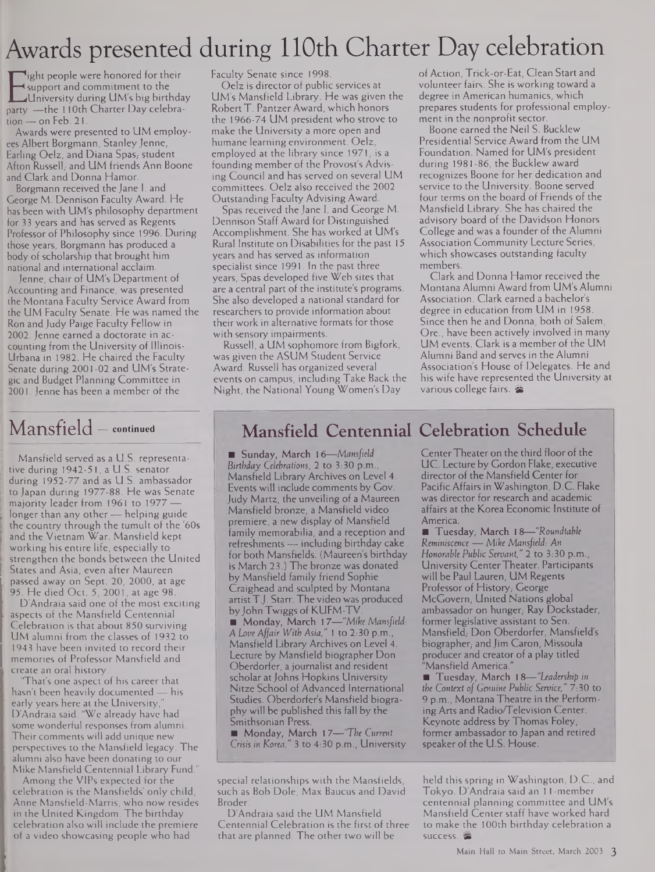# Awards presented during 110th Charter Day celebration

Explore and communient to the<br>University during UM's big birthday<br>party —the 110th Charter Day celebraight people were honored for their support and commitment to the University during UM's big birthday tion — on Feb. 21.

Awards were presented to UM employees Albert Borgmann, Stanley Jenne, Earling Oelz, and Diana Spas,- student Afton Russell, and UM friends Ann Boone and Clark and Donna Hamor.

Borgmann received the Jane I. and George M. Dennison Faculty Award. He has been with UM's philosophy department for 33 years and has served as Regents Professor of Philosophy since 1996. During those years, Borgmann has produced a body of scholarship that brought him national and international acclaim.

Jenne, chair of UM's Department of Accounting and Finance, was presented the Montana Faculty Service Award from the UM Faculty Senate. He was named the Ron and Judy Paige Faculty Fellow in 2002. Jenne earned a doctorate in accounting from the University of Illinois-Urbana in 1982. He chaired the Faculty Senate during 2001-02 and UM's Strategic and Budget Planning Committee in 2001. Jenne has been a member of the

Mansfield served as a U.S. representative during 1942-51, a U.S. senator during 1952-77 and as U.S. ambassador to Japan during 1977-88. He was Senate majority leader from 1961 to 1977 longer than any other— helping guide the country through the tumult of the '60s and the Vietnam War. Mansfield kept working his entire life, especially to strengthen the bonds between the United States and Asia, even after Maureen passed away on Sept. 20, 2000, at age 95. He died Oct. 5, 2001, at age 98.

D'Andraia said one of the most exciting aspects of the Mansfield Centennial Celebration is that about 850 surviving UM alumni from the classes of 1932 to 1943 have been invited to record their memories of Professor Mansfield and create an oral history.

'That's one aspect of his career that hasn't been heavily documented — his early years here at the University, D'Andraia said. "We already have had some wonderful responses from alumni. Their comments will add unique new perspectives to the Mansfield legacy. The alumni also have been donating to our Mike Mansfield Centennial Library Fund."

Among the VIPs expected for the celebration is the Mansfields' only child, Anne Mansfield-Marris, who now resides in the United Kingdom. The birthday celebration also will include the premiere of a video showcasing people who had

Faculty Senate since 1998.

Oelz is director of public services at UM's Mansfield Library. He was given the RobertT. Pantzer Award, which honors the 1966-74 UM president who strove to make the University a more open and humane learning environment. Oelz, employed at the library since 1971, is a founding member of the Provost's Advising Council and has served on several UM committees. Oelz also received the 2002 Outstanding Faculty Advising Award.

Spas received the Jane I. and George M. Dennison Staff Award for Distinguished Accomplishment. She has worked at UM's Rural Institute on Disabilities for the past 15 years and has served as information specialist since 1991. In the past three years, Spas developed five Web sites that are a central part of the institute's programs. She also developed a national standard for researchers to provide information about their work in alternative formats for those with sensory impairments.

Russell, a UM sophomore from Bigfork, was given the ASUM Student Service Award. Russell has organized several events on campus, including Take Back the Night, the National Young Women's Day

ofAction, Trick-or-Eat, Clean Start and volunteer fairs. She is working toward a degree in American humanics, which prepares students for professional employment in the nonprofit sector.

Boone earned the Neil S. Bucklew Presidential Service Award from the UM Foundation. Named for UM's president during 1981-86, the Bucklew award recognizes Boone for her dedication and service to the University. Boone served four terms on the board of Friends of the Mansfield Library. She has chaired the advisory board of the Davidson Honors College and was a founder of the Alumni Association Community Lecture Series, which showcases outstanding faculty members.

Clark and Donna Hamor received the Montana Alumni Award from UM's Alumni Association. Clark earned a bachelor's degree in education from UM in 1958. Since then he and Donna, both of Salem, Ore., have been actively involved in many UM events. Clark is a member of the UM Alumni Band and serves in the Alumni Association's House of Delegates. He and his wife have represented the University at various college fairs. &

### Mansfield — **continued Mansfield Centennial Celebration Schedule**

■ Sunday, March 16—*Mansfield Birthday Celebrations,* 2 to 3:30 p.m., Mansfield Library Archives on Level 4. Events will include comments by Gov. Judy Martz, the unveiling of a Maureen Mansfield bronze, a Mansfield video premiere, a new display of Mansfield family memorabilia, and a reception and refreshments — including birthday cake for both Mansfields. (Maureen's birthday is March 23.) The bronze was donated by Mansfield family friend Sophie Craighead and sculpted by Montana artistT.J. Starr. The video was produced by John Twiggs of KUFM-TV

■ Monday, March 17—*"Mike Mansfield: A Love Affair With Asia,"* <sup>1</sup> to 2:30 p.m., Mansfield Library Archives on Level 4. Lecture by Mansfield biographer Don Oberdorfer, a journalist and resident scholar at Johns Hopkins University Nitze School of Advanced International Studies. Oberdorfer's Mansfield biography will be published this fall by the Smithsonian Press.

Monday, March 17—*"The Current Crisis in Korea,"* 3 to 4:30 p.m., University

special relationships with the Mansfields, such as Bob Dole, Max Baucus and David Broder.

D'Andraia said the UM Mansfield Centennial Celebration is the first of three that are planned. The other two will be

Center Theater on the third floor of the UC. Lecture by Gordon Flake, executive director of the Mansfield Center for Pacific Affairs in Washington, D.C. Flake was director for research and academic affairs at the Korea Economic Institute of

America. Tuesday, March 18—*"Roundtable Reminiscence —Mike Mansfield: An Honorable Public Servant,"* 2 to 3:30 p.m., University CenterTheater. Participants will be Paul Lauren, UM Regents Professor of History, George McGovern, United Nations global ambassador on hunger; Ray Dockstader, former legislative assistant to Sen. Mansfield, Don Oberdorfer, Mansfield's biographer, and Jim Caron, Missoula producer and creator of a play titled "Mansfield America."

Tuesday, March 18—-*"Leadership in the Context of Genuine Public Service," 7:30* to 9 p.m., Montana Theatre in the Performing Arts and Radio/Television Center. Keynote address by Thomas Foley, former ambassador to Japan and retired speaker of the U.S. House.

held this spring in Washington, D.C., and Tokyo. D'Andraia said an <sup>11</sup> -member centennial planning committee and UM's Mansfield Center staff have worked hard to make the 100th birthday celebration a success. <